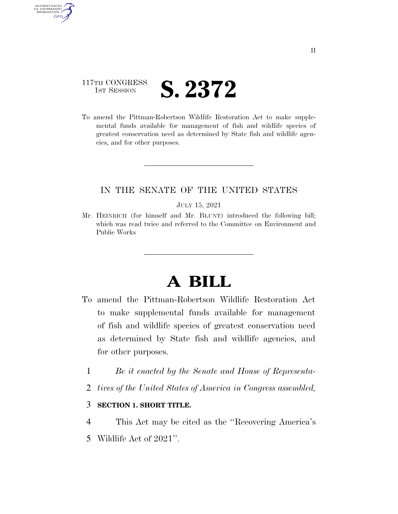### 117TH CONGRESS **IST SESSION S. 2372**

AUTHENTICATED U.S. GOVERNMENT **GPO** 

> To amend the Pittman-Robertson Wildlife Restoration Act to make supplemental funds available for management of fish and wildlife species of greatest conservation need as determined by State fish and wildlife agencies, and for other purposes.

### IN THE SENATE OF THE UNITED STATES

#### JULY 15, 2021

Mr. HEINRICH (for himself and Mr. BLUNT) introduced the following bill; which was read twice and referred to the Committee on Environment and Public Works

# **A BILL**

- To amend the Pittman-Robertson Wildlife Restoration Act to make supplemental funds available for management of fish and wildlife species of greatest conservation need as determined by State fish and wildlife agencies, and for other purposes.
	- 1 *Be it enacted by the Senate and House of Representa-*
	- 2 *tives of the United States of America in Congress assembled,*

#### 3 **SECTION 1. SHORT TITLE.**

- 4 This Act may be cited as the ''Recovering America's
- 5 Wildlife Act of 2021''.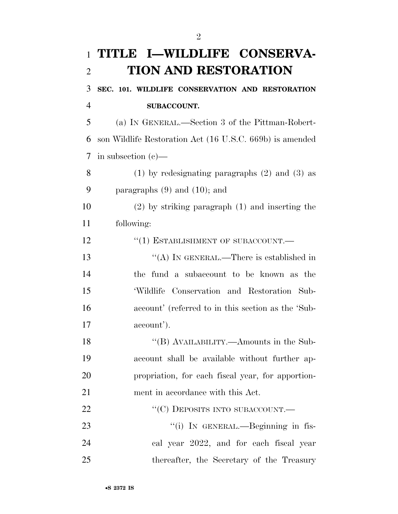| $\mathbf{1}$   | TITLE I-WILDLIFE CONSERVA-                               |
|----------------|----------------------------------------------------------|
| $\overline{2}$ | <b>TION AND RESTORATION</b>                              |
| 3              | SEC. 101. WILDLIFE CONSERVATION AND RESTORATION          |
| $\overline{4}$ | <b>SUBACCOUNT.</b>                                       |
| 5              | (a) IN GENERAL.—Section 3 of the Pittman-Robert-         |
| 6              | son Wildlife Restoration Act (16 U.S.C. 669b) is amended |
| 7              | in subsection $(e)$ —                                    |
| 8              | $(1)$ by redesignating paragraphs $(2)$ and $(3)$ as     |
| 9              | paragraphs $(9)$ and $(10)$ ; and                        |
| 10             | $(2)$ by striking paragraph $(1)$ and inserting the      |
| 11             | following:                                               |
| 12             | "(1) ESTABLISHMENT OF SUBACCOUNT.-                       |
| 13             | "(A) IN GENERAL.—There is established in                 |
| 14             | the fund a subaccount to be known as the                 |
| 15             | 'Wildlife Conservation and Restoration Sub-              |
| 16             | account' (referred to in this section as the 'Sub-       |
| 17             | account').                                               |
| 18             | "(B) AVAILABILITY.—Amounts in the Sub-                   |
| 19             | account shall be available without further ap-           |
| 20             | propriation, for each fiscal year, for apportion-        |
| 21             | ment in accordance with this Act.                        |
| 22             | "(C) DEPOSITS INTO SUBACCOUNT.-                          |
| 23             | "(i) IN GENERAL.—Beginning in fis-                       |
| 24             | cal year 2022, and for each fiscal year                  |
| 25             | thereafter, the Secretary of the Treasury                |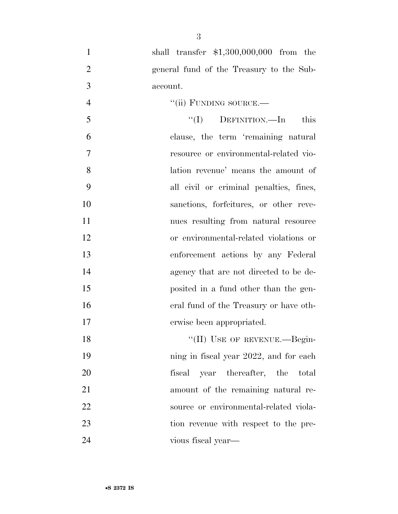- shall transfer \$1,300,000,000 from the general fund of the Treasury to the Sub- account. 4 "(ii) FUNDING SOURCE.—  $\mathcal{F}'(I)$  DEFINITION.—In this clause, the term 'remaining natural resource or environmental-related vio- lation revenue' means the amount of all civil or criminal penalties, fines, sanctions, forfeitures, or other reve- nues resulting from natural resource or environmental-related violations or enforcement actions by any Federal agency that are not directed to be de- posited in a fund other than the gen- eral fund of the Treasury or have oth- erwise been appropriated. 18 "(II) USE OF REVENUE.—Begin-19 ning in fiscal year 2022, and for each fiscal year thereafter, the total amount of the remaining natural re- source or environmental-related viola- tion revenue with respect to the pre-vious fiscal year—
-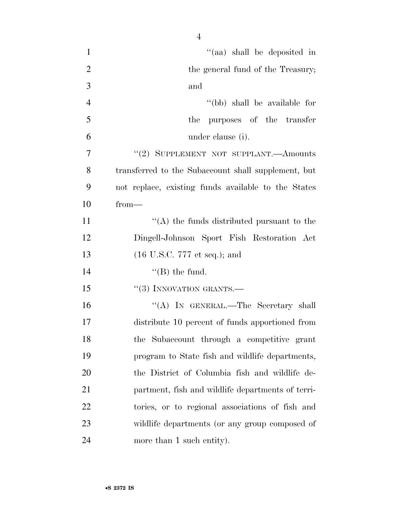| $\mathbf{1}$   | "(aa) shall be deposited in                         |
|----------------|-----------------------------------------------------|
| $\overline{2}$ | the general fund of the Treasury;                   |
| 3              | and                                                 |
| $\overline{4}$ | "(bb) shall be available for                        |
| 5              | purposes of the transfer<br>the                     |
| 6              | under clause (i).                                   |
| 7              | "(2) SUPPLEMENT NOT SUPPLANT.—Amounts               |
| 8              | transferred to the Subaccount shall supplement, but |
| 9              | not replace, existing funds available to the States |
| 10             | $from-$                                             |
| 11             | $\lq\lq$ the funds distributed pursuant to the      |
| 12             | Dingell-Johnson Sport Fish Restoration Act          |
| 13             | $(16 \text{ U.S.C. } 777 \text{ et seq.});$ and     |
| 14             | $\lq\lq$ (B) the fund.                              |
| 15             | $``(3)$ INNOVATION GRANTS.—                         |
| 16             | "(A) IN GENERAL.—The Secretary shall                |
| 17             | distribute 10 percent of funds apportioned from     |
| 18             | the Subaccount through a competitive grant          |
| 19             | program to State fish and wildlife departments,     |
| 20             | the District of Columbia fish and wildlife de-      |
| 21             | partment, fish and wildlife departments of terri-   |
| 22             | tories, or to regional associations of fish and     |
| 23             | wildlife departments (or any group composed of      |
| 24             | more than 1 such entity).                           |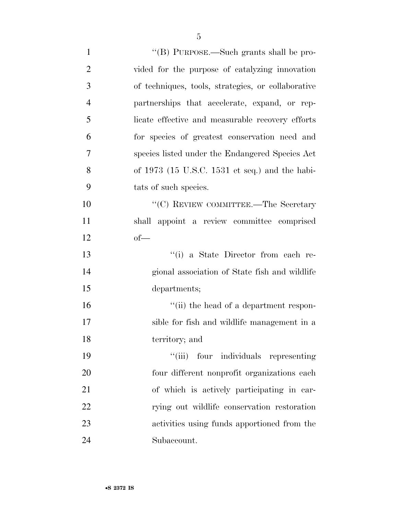| $\mathbf{1}$   | "(B) PURPOSE.—Such grants shall be pro-            |
|----------------|----------------------------------------------------|
| $\overline{2}$ | vided for the purpose of catalyzing innovation     |
| 3              | of techniques, tools, strategies, or collaborative |
| $\overline{4}$ | partnerships that accelerate, expand, or rep-      |
| 5              | licate effective and measurable recovery efforts   |
| 6              | for species of greatest conservation need and      |
| 7              | species listed under the Endangered Species Act    |
| 8              | of $1973$ (15 U.S.C. 1531 et seq.) and the habi-   |
| 9              | tats of such species.                              |
| 10             | "(C) REVIEW COMMITTEE.—The Secretary               |
| 11             | shall appoint a review committee comprised         |
| 12             | $of$ —                                             |
| 13             | "(i) a State Director from each re-                |
| 14             | gional association of State fish and wildlife      |
| 15             | departments;                                       |
| 16             | "(ii) the head of a department respon-             |
| 17             | sible for fish and wildlife management in a        |
| 18             | territory; and                                     |
| 19             | "(iii) four individuals representing               |
| 20             | four different nonprofit organizations each        |
| 21             | of which is actively participating in car-         |
| 22             | rying out wildlife conservation restoration        |
| 23             | activities using funds apportioned from the        |
| 24             | Subaccount.                                        |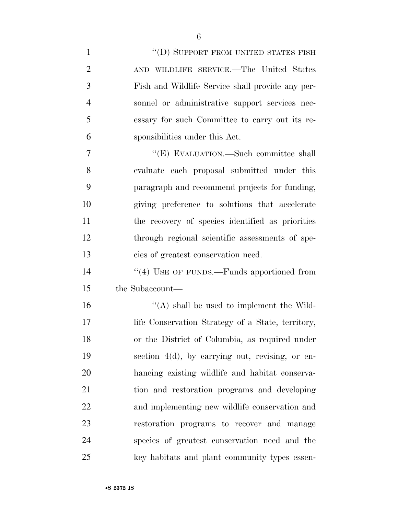| $\mathbf{1}$   |                                                    |
|----------------|----------------------------------------------------|
| $\overline{2}$ | AND WILDLIFE SERVICE.—The United States            |
| 3              | Fish and Wildlife Service shall provide any per-   |
| 4              | sonnel or administrative support services nec-     |
| 5              | essary for such Committee to carry out its re-     |
| 6              | sponsibilities under this Act.                     |
| $\overline{7}$ | "(E) EVALUATION.—Such committee shall              |
| 8              | evaluate each proposal submitted under this        |
| 9              | paragraph and recommend projects for funding,      |
| 10             | giving preference to solutions that accelerate     |
| 11             | the recovery of species identified as priorities   |
| 12             | through regional scientific assessments of spe-    |
| 13             | cies of greatest conservation need.                |
| 14             | $``(4)$ USE OF FUNDS.—Funds apportioned from       |
| 15             | the Subaccount—                                    |
| 16             | $\lq\lq$ shall be used to implement the Wild-      |
| 17             | life Conservation Strategy of a State, territory,  |
| 18             | or the District of Columbia, as required under     |
| 19             | section $4(d)$ , by carrying out, revising, or en- |
| 20             | hancing existing wildlife and habitat conserva-    |
| 21             | tion and restoration programs and developing       |
| 22             | and implementing new wildlife conservation and     |
| 23             | restoration programs to recover and manage         |
| 24             | species of greatest conservation need and the      |
| 25             | key habitats and plant community types essen-      |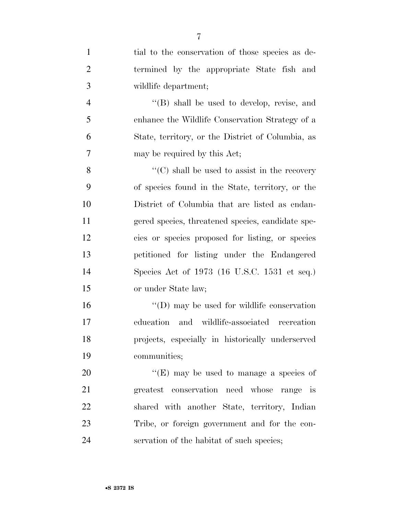| $\mathbf{1}$   | tial to the conservation of those species as de-   |
|----------------|----------------------------------------------------|
| $\overline{2}$ | termined by the appropriate State fish and         |
| 3              | wildlife department;                               |
| $\overline{4}$ | $\lq\lq$ (B) shall be used to develop, revise, and |
| 5              | enhance the Wildlife Conservation Strategy of a    |
| 6              | State, territory, or the District of Columbia, as  |
| 7              | may be required by this Act;                       |
| 8              | "(C) shall be used to assist in the recovery       |
| 9              | of species found in the State, territory, or the   |
| 10             | District of Columbia that are listed as endan-     |
| 11             | gered species, threatened species, candidate spe-  |
| 12             | cies or species proposed for listing, or species   |
| 13             | petitioned for listing under the Endangered        |
| 14             | Species Act of 1973 (16 U.S.C. 1531 et seq.)       |
| 15             | or under State law;                                |
| 16             | "(D) may be used for wildlife conservation         |
| 17             | education and wildlife-associated recreation       |
| 18             | projects, especially in historically underserved   |
| 19             | communities;                                       |
| 20             | "(E) may be used to manage a species of            |
| 21             | greatest conservation need whose range is          |
| 22             | shared with another State, territory, Indian       |
| 23             | Tribe, or foreign government and for the con-      |
| 24             | servation of the habitat of such species;          |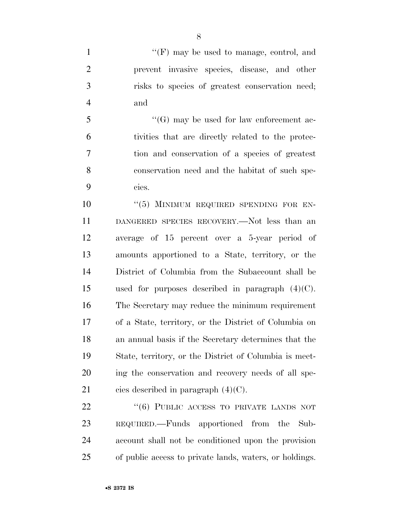1 ''(F) may be used to manage, control, and prevent invasive species, disease, and other risks to species of greatest conservation need; and

 ''(G) may be used for law enforcement ac- tivities that are directly related to the protec- tion and conservation of a species of greatest conservation need and the habitat of such spe-cies.

 ''(5) MINIMUM REQUIRED SPENDING FOR EN- DANGERED SPECIES RECOVERY.—Not less than an average of 15 percent over a 5-year period of amounts apportioned to a State, territory, or the District of Columbia from the Subaccount shall be used for purposes described in paragraph (4)(C). The Secretary may reduce the minimum requirement of a State, territory, or the District of Columbia on an annual basis if the Secretary determines that the State, territory, or the District of Columbia is meet- ing the conservation and recovery needs of all spe-21 cies described in paragraph  $(4)(C)$ .

22 "(6) PUBLIC ACCESS TO PRIVATE LANDS NOT REQUIRED.—Funds apportioned from the Sub- account shall not be conditioned upon the provision of public access to private lands, waters, or holdings.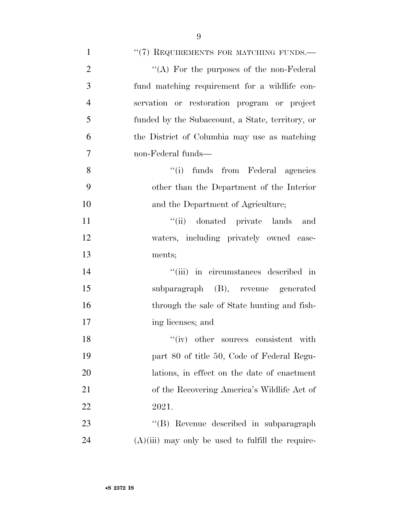| $\mathbf{1}$   | "(7) REQUIREMENTS FOR MATCHING FUNDS.—              |
|----------------|-----------------------------------------------------|
| $\overline{2}$ | "(A) For the purposes of the non-Federal            |
| 3              | fund matching requirement for a wildlife con-       |
| $\overline{4}$ | servation or restoration program or project         |
| 5              | funded by the Subaccount, a State, territory, or    |
| 6              | the District of Columbia may use as matching        |
| 7              | non-Federal funds—                                  |
| 8              | "(i) funds from Federal agencies                    |
| 9              | other than the Department of the Interior           |
| 10             | and the Department of Agriculture;                  |
| 11             | "(ii) donated private lands<br>and                  |
| 12             | waters, including privately owned ease-             |
| 13             | ments;                                              |
| 14             | "(iii) in circumstances described in                |
| 15             | subparagraph (B), revenue generated                 |
| 16             | through the sale of State hunting and fish-         |
| 17             | ing licenses; and                                   |
| 18             | "(iv) other sources consistent with                 |
| 19             | part 80 of title 50, Code of Federal Regu-          |
| 20             | lations, in effect on the date of enactment         |
| 21             | of the Recovering America's Wildlife Act of         |
| 22             | 2021.                                               |
| 23             | "(B) Revenue described in subparagraph              |
| 24             | $(A)(iii)$ may only be used to fulfill the require- |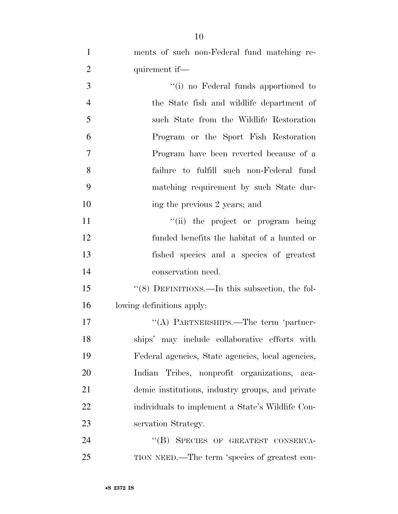| $\mathbf{1}$   | ments of such non-Federal fund matching re-       |
|----------------|---------------------------------------------------|
| $\overline{2}$ | quirement if—                                     |
| 3              | "(i) no Federal funds apportioned to              |
| $\overline{4}$ | the State fish and wildlife department of         |
| 5              | such State from the Wildlife Restoration          |
| 6              | Program or the Sport Fish Restoration             |
| $\overline{7}$ | Program have been reverted because of a           |
| 8              | failure to fulfill such non-Federal fund          |
| 9              | matching requirement by such State dur-           |
| 10             | ing the previous 2 years; and                     |
| 11             | "(ii) the project or program being                |
| 12             | funded benefits the habitat of a hunted or        |
| 13             | fished species and a species of greatest          |
| 14             | conservation need.                                |
| 15             | "(8) DEFINITIONS.—In this subsection, the fol-    |
| 16             | lowing definitions apply:                         |
| 17             | "(A) PARTNERSHIPS.—The term 'partner-             |
| 18             | ships' may include collaborative efforts with     |
| 19             | Federal agencies, State agencies, local agencies, |
| 20             | Indian Tribes, nonprofit organizations,<br>-aca-  |
| 21             | demic institutions, industry groups, and private  |
| 22             | individuals to implement a State's Wildlife Con-  |
| 23             | servation Strategy.                               |
| 24             | "(B) SPECIES OF GREATEST CONSERVA-                |
| 25             | TION NEED.—The term 'species of greatest con-     |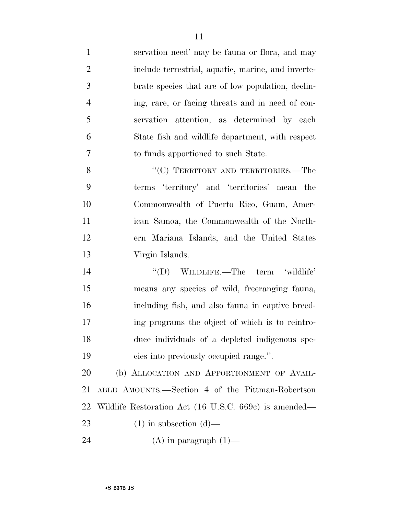servation need' may be fauna or flora, and may include terrestrial, aquatic, marine, and inverte- brate species that are of low population, declin- ing, rare, or facing threats and in need of con- servation attention, as determined by each State fish and wildlife department, with respect to funds apportioned to such State.

8 "(C) TERRITORY AND TERRITORIES.—The terms 'territory' and 'territories' mean the Commonwealth of Puerto Rico, Guam, Amer- ican Samoa, the Commonwealth of the North- ern Mariana Islands, and the United States Virgin Islands.

14 "(D) WILDLIFE.—The term 'wildlife' means any species of wild, freeranging fauna, including fish, and also fauna in captive breed- ing programs the object of which is to reintro- duce individuals of a depleted indigenous spe-cies into previously occupied range.''.

20 (b) ALLOCATION AND APPORTIONMENT OF AVAIL- ABLE AMOUNTS.—Section 4 of the Pittman-Robertson Wildlife Restoration Act (16 U.S.C. 669c) is amended— 23 (1) in subsection  $(d)$ —

24  $(A)$  in paragraph  $(1)$ —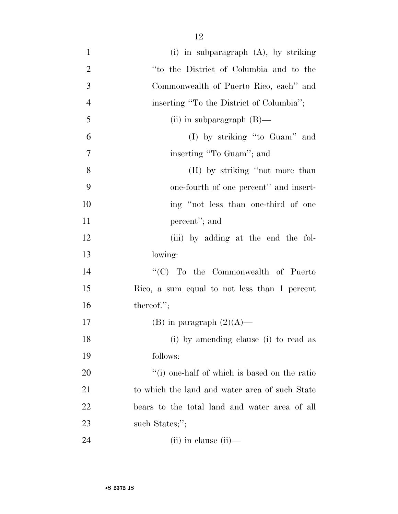| $\mathbf{1}$   | (i) in subparagraph $(A)$ , by striking              |
|----------------|------------------------------------------------------|
| $\overline{2}$ | "to the District of Columbia and to the              |
| 3              | Commonwealth of Puerto Rico, each" and               |
| $\overline{4}$ | inserting "To the District of Columbia";             |
| 5              | (ii) in subparagraph $(B)$ —                         |
| 6              | (I) by striking "to Guam" and                        |
| 7              | inserting "To Guam"; and                             |
| 8              | (II) by striking "not more than                      |
| 9              | one-fourth of one percent" and insert-               |
| 10             | ing "not less than one-third of one                  |
| 11             | percent"; and                                        |
| 12             | (iii) by adding at the end the fol-                  |
| 13             | lowing:                                              |
| 14             | "(C) To the Commonwealth of Puerto                   |
| 15             | Rico, a sum equal to not less than 1 percent         |
| 16             | thereof.";                                           |
| 17             | (B) in paragraph $(2)(A)$ —                          |
| 18             | (i) by amending clause (i) to read as                |
| 19             | follows:                                             |
| 20             | $\lq\lq$ (i) one-half of which is based on the ratio |
| 21             | to which the land and water area of such State       |
| 22             | bears to the total land and water area of all        |
| 23             | such States;";                                       |
| 24             | $(ii)$ in clause $(ii)$ —                            |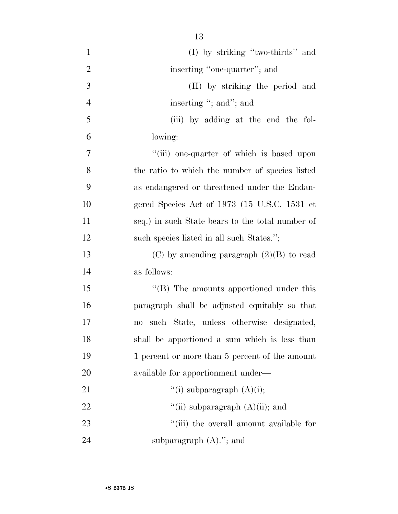| $\mathbf{1}$   | $(I)$ by striking "two-thirds" and                                 |
|----------------|--------------------------------------------------------------------|
| $\overline{2}$ | inserting "one-quarter"; and                                       |
| 3              | (II) by striking the period and                                    |
| $\overline{4}$ | inserting "; and"; and                                             |
| 5              | (iii) by adding at the end the fol-                                |
| 6              | lowing:                                                            |
| $\overline{7}$ | "(iii) one-quarter of which is based upon                          |
| 8              | the ratio to which the number of species listed                    |
| 9              | as endangered or threatened under the Endan-                       |
| 10             | gered Species Act of 1973 (15 U.S.C. 1531 et                       |
| 11             | seq.) in such State bears to the total number of                   |
| 12             | such species listed in all such States.";                          |
| 13             | (C) by amending paragraph $(2)(B)$ to read                         |
| 14             | as follows:                                                        |
| 15             | "(B) The amounts apportioned under this                            |
| 16             | paragraph shall be adjusted equitably so that                      |
| 17             | such State, unless otherwise designated,<br>$\mathbf{n}\mathbf{o}$ |
| 18             | shall be apportioned a sum which is less than                      |
| 19             | 1 percent or more than 5 percent of the amount                     |
| 20             | available for apportionment under—                                 |
| 21             | "(i) subparagraph $(A)(i)$ ;                                       |
| 22             | "(ii) subparagraph $(A)(ii)$ ; and                                 |
| 23             | "(iii) the overall amount available for                            |
| 24             | subparagraph $(A)$ ."; and                                         |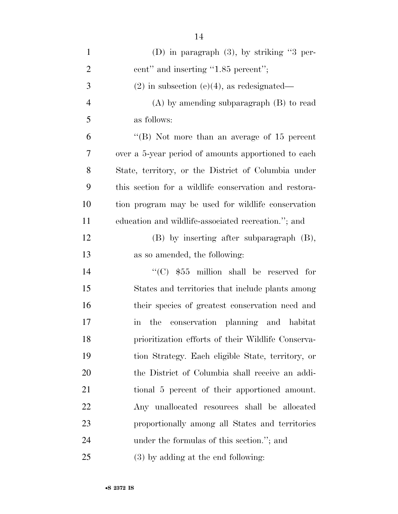| $\mathbf{1}$   | (D) in paragraph $(3)$ , by striking "3 per-          |
|----------------|-------------------------------------------------------|
| $\overline{2}$ | cent" and inserting "1.85 percent";                   |
| 3              | $(2)$ in subsection (e)(4), as redesignated—          |
| $\overline{4}$ | $(A)$ by amending subparagraph $(B)$ to read          |
| 5              | as follows:                                           |
| 6              | "(B) Not more than an average of $15$ percent         |
| 7              | over a 5-year period of amounts apportioned to each   |
| 8              | State, territory, or the District of Columbia under   |
| 9              | this section for a wildlife conservation and restora- |
| 10             | tion program may be used for wildlife conservation    |
| 11             | education and wildlife-associated recreation."; and   |
| 12             | $(B)$ by inserting after subparagraph $(B)$ ,         |
| 13             | as so amended, the following:                         |
| 14             | " $(C)$ \$55 million shall be reserved for            |
| 15             | States and territories that include plants among      |
| 16             | their species of greatest conservation need and       |
| 17             | the conservation planning and habitat<br>in           |
| 18             | prioritization efforts of their Wildlife Conserva-    |
| 19             | tion Strategy. Each eligible State, territory, or     |
| 20             | the District of Columbia shall receive an addi-       |
| 21             | tional 5 percent of their apportioned amount.         |
| 22             | Any unallocated resources shall be allocated          |
| 23             | proportionally among all States and territories       |
| 24             | under the formulas of this section."; and             |
| 25             | (3) by adding at the end following:                   |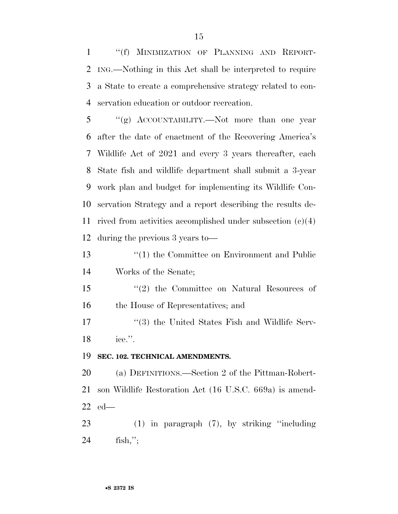''(f) MINIMIZATION OF PLANNING AND REPORT- ING.—Nothing in this Act shall be interpreted to require a State to create a comprehensive strategy related to con-servation education or outdoor recreation.

 ''(g) ACCOUNTABILITY.—Not more than one year after the date of enactment of the Recovering America's Wildlife Act of 2021 and every 3 years thereafter, each State fish and wildlife department shall submit a 3-year work plan and budget for implementing its Wildlife Con- servation Strategy and a report describing the results de- rived from activities accomplished under subsection (c)(4) during the previous 3 years to—

 ''(1) the Committee on Environment and Public Works of the Senate;

 ''(2) the Committee on Natural Resources of the House of Representatives; and

17 ''(3) the United States Fish and Wildlife Serv-ice.''.

**SEC. 102. TECHNICAL AMENDMENTS.** 

 (a) DEFINITIONS.—Section 2 of the Pittman-Robert- son Wildlife Restoration Act (16 U.S.C. 669a) is amend-ed—

 (1) in paragraph (7), by striking ''including fish,'';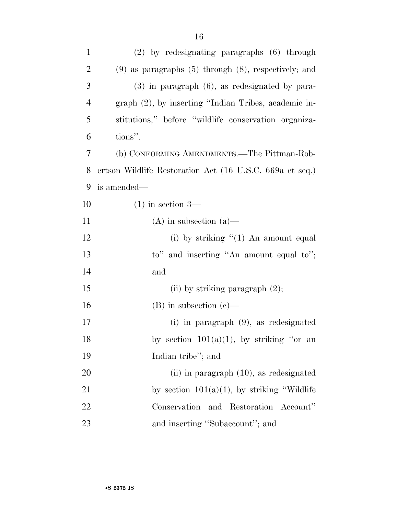| $\mathbf{1}$   | (2) by redesignating paragraphs (6) through                 |
|----------------|-------------------------------------------------------------|
| $\overline{2}$ | $(9)$ as paragraphs $(5)$ through $(8)$ , respectively; and |
| 3              | $(3)$ in paragraph $(6)$ , as redesignated by para-         |
| $\overline{4}$ | graph (2), by inserting "Indian Tribes, academic in-        |
| 5              | stitutions," before "wildlife conservation organiza-        |
| 6              | tions".                                                     |
| 7              | (b) CONFORMING AMENDMENTS.—The Pittman-Rob-                 |
| 8              | ertson Wildlife Restoration Act (16 U.S.C. 669a et seq.)    |
| 9              | is amended—                                                 |
| 10             | $(1)$ in section 3—                                         |
| 11             | $(A)$ in subsection $(a)$ —                                 |
| 12             | (i) by striking $(1)$ An amount equal                       |
| 13             | to" and inserting "An amount equal to";                     |
| 14             | and                                                         |
| 15             | (ii) by striking paragraph $(2)$ ;                          |
| 16             | $(B)$ in subsection $(c)$ —                                 |
| 17             | $(i)$ in paragraph $(9)$ , as redesignated                  |
| 18             | by section $101(a)(1)$ , by striking "or an                 |
| 19             | Indian tribe"; and                                          |
| 20             | $(ii)$ in paragraph $(10)$ , as redesignated                |
| 21             | by section $101(a)(1)$ , by striking "Wildlife"             |
| <u>22</u>      | Conservation and Restoration Account"                       |
| 23             | and inserting "Subaccount"; and                             |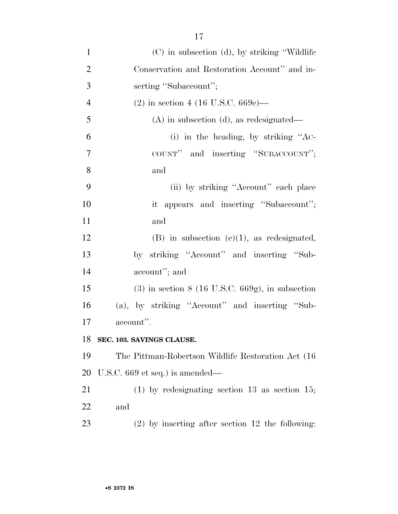| $\mathbf{1}$   | $(C)$ in subsection (d), by striking "Wildlife"    |
|----------------|----------------------------------------------------|
| $\overline{2}$ | Conservation and Restoration Account" and in-      |
| 3              | serting "Subaccount";                              |
| $\overline{4}$ | $(2)$ in section 4 (16 U.S.C. 669c)—               |
| 5              | $(A)$ in subsection $(d)$ , as redesignated—       |
| 6              | (i) in the heading, by striking "AC-               |
| $\tau$         | COUNT" and inserting "SUBACCOUNT";                 |
| 8              | and                                                |
| 9              | (ii) by striking "Account" each place              |
| 10             | it appears and inserting "Subaccount";             |
| 11             | and                                                |
| 12             | $(B)$ in subsection $(e)(1)$ , as redesignated,    |
| 13             | by striking "Account" and inserting "Sub-          |
| 14             | account"; and                                      |
| 15             | $(3)$ in section 8 (16 U.S.C. 669g), in subsection |
| 16             | (a), by striking "Account" and inserting "Sub-     |
| 17             | account".                                          |
| 18             | SEC. 103. SAVINGS CLAUSE.                          |
| 19             | The Pittman-Robertson Wildlife Restoration Act (16 |
| 20             | U.S.C. $669$ et seq.) is amended—                  |
| 21             | $(1)$ by redesignating section 13 as section 15;   |
| 22             | and                                                |
| 23             | $(2)$ by inserting after section 12 the following: |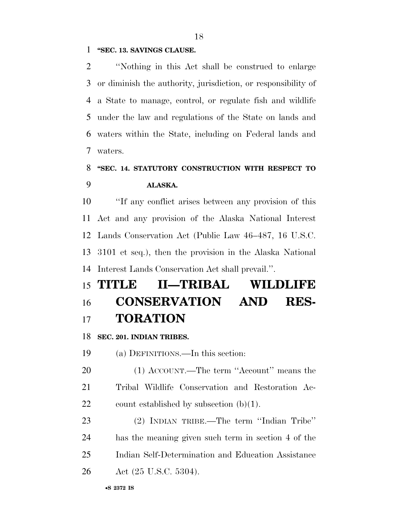#### **''SEC. 13. SAVINGS CLAUSE.**

 ''Nothing in this Act shall be construed to enlarge or diminish the authority, jurisdiction, or responsibility of a State to manage, control, or regulate fish and wildlife under the law and regulations of the State on lands and waters within the State, including on Federal lands and waters.

## **''SEC. 14. STATUTORY CONSTRUCTION WITH RESPECT TO ALASKA.**

 ''If any conflict arises between any provision of this Act and any provision of the Alaska National Interest Lands Conservation Act (Public Law 46–487, 16 U.S.C. 3101 et seq.), then the provision in the Alaska National Interest Lands Conservation Act shall prevail.''.

# **TITLE II—TRIBAL WILDLIFE CONSERVATION AND RES-TORATION**

**SEC. 201. INDIAN TRIBES.** 

(a) DEFINITIONS.—In this section:

20 (1) ACCOUNT.—The term "Account" means the Tribal Wildlife Conservation and Restoration Ac-22 count established by subsection  $(b)(1)$ .

 (2) INDIAN TRIBE.—The term ''Indian Tribe'' has the meaning given such term in section 4 of the Indian Self-Determination and Education Assistance Act (25 U.S.C. 5304).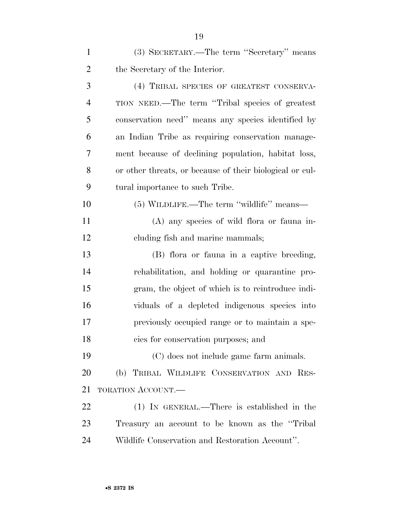| $\mathbf{1}$   | (3) SECRETARY.—The term "Secretary" means                |
|----------------|----------------------------------------------------------|
| $\overline{2}$ | the Secretary of the Interior.                           |
| 3              | (4) TRIBAL SPECIES OF GREATEST CONSERVA-                 |
| $\overline{4}$ | TION NEED.—The term "Tribal species of greatest"         |
| 5              | conservation need" means any species identified by       |
| 6              | an Indian Tribe as requiring conservation manage-        |
| 7              | ment because of declining population, habitat loss,      |
| 8              | or other threats, or because of their biological or cul- |
| 9              | tural importance to such Tribe.                          |
| 10             | (5) WILDLIFE.—The term "wildlife" means—                 |
| 11             | (A) any species of wild flora or fauna in-               |
| 12             | cluding fish and marine mammals;                         |
| 13             | (B) flora or fauna in a captive breeding,                |
| 14             | rehabilitation, and holding or quarantine pro-           |
| 15             | gram, the object of which is to reintroduce indi-        |
| 16             | viduals of a depleted indigenous species into            |
| 17             | previously occupied range or to maintain a spe-          |
| 18             | cies for conservation purposes; and                      |
| 19             | (C) does not include game farm animals.                  |
| 20             | (b) TRIBAL WILDLIFE CONSERVATION AND RES-                |
| 21             | <b>TORATION ACCOUNT.—</b>                                |
| 22             | (1) IN GENERAL.—There is established in the              |
| 23             | Treasury an account to be known as the "Tribal"          |
| 24             | Wildlife Conservation and Restoration Account".          |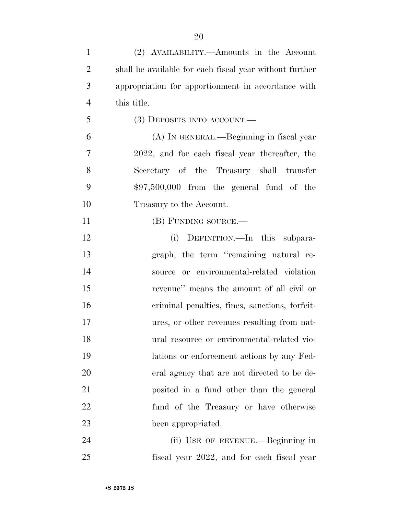| $\mathbf{1}$   | (2) AVAILABILITY.—Amounts in the Account                |
|----------------|---------------------------------------------------------|
| $\overline{2}$ | shall be available for each fiscal year without further |
| 3              | appropriation for apportionment in accordance with      |
| $\overline{4}$ | this title.                                             |
| 5              | $(3)$ DEPOSITS INTO ACCOUNT.—                           |
| 6              | (A) IN GENERAL.—Beginning in fiscal year                |
| 7              | 2022, and for each fiscal year thereafter, the          |
| 8              | Secretary of the Treasury shall transfer                |
| 9              | $$97,500,000$ from the general fund of the              |
| 10             | Treasury to the Account.                                |
| 11             | (B) FUNDING SOURCE.—                                    |
| 12             | (i) DEFINITION.—In this subpara-                        |
| 13             | graph, the term "remaining natural re-                  |
| 14             | source or environmental-related violation               |
| 15             | revenue" means the amount of all civil or               |
| 16             | criminal penalties, fines, sanctions, forfeit-          |
| 17             | ures, or other revenues resulting from nat-             |
| 18             | ural resource or environmental-related vio-             |
| 19             | lations or enforcement actions by any Fed-              |
| 20             | eral agency that are not directed to be de-             |
| 21             | posited in a fund other than the general                |
| 22             | fund of the Treasury or have otherwise                  |
| 23             | been appropriated.                                      |
| 24             | (ii) USE OF REVENUE.—Beginning in                       |
| 25             | fiscal year 2022, and for each fiscal year              |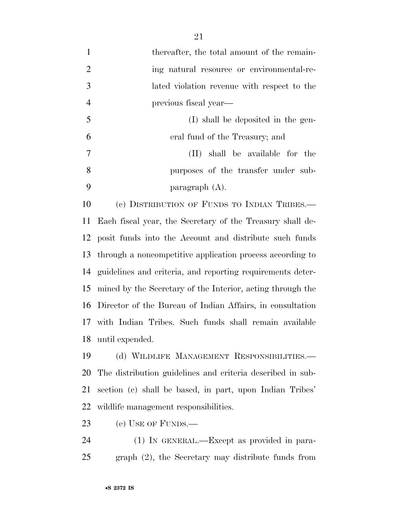1 thereafter, the total amount of the remain-2 ing natural resource or environmental-re- lated violation revenue with respect to the previous fiscal year— (I) shall be deposited in the gen- eral fund of the Treasury; and (II) shall be available for the purposes of the transfer under sub-paragraph (A).

 (c) DISTRIBUTION OF FUNDS TO INDIAN TRIBES.— Each fiscal year, the Secretary of the Treasury shall de- posit funds into the Account and distribute such funds through a noncompetitive application process according to guidelines and criteria, and reporting requirements deter- mined by the Secretary of the Interior, acting through the Director of the Bureau of Indian Affairs, in consultation with Indian Tribes. Such funds shall remain available until expended.

 (d) WILDLIFE MANAGEMENT RESPONSIBILITIES.— The distribution guidelines and criteria described in sub- section (c) shall be based, in part, upon Indian Tribes' wildlife management responsibilities.

(e) USE OF FUNDS.—

 (1) IN GENERAL.—Except as provided in para-graph (2), the Secretary may distribute funds from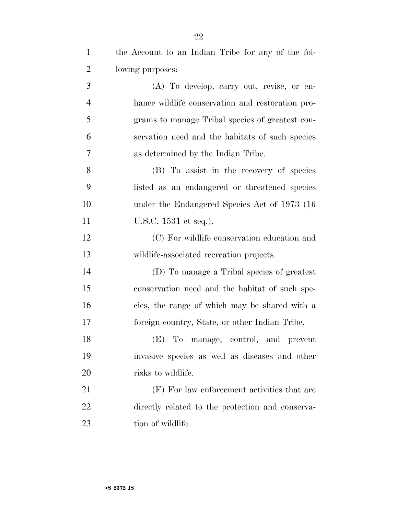| $\mathbf{1}$   | the Account to an Indian Tribe for any of the fol- |
|----------------|----------------------------------------------------|
| $\overline{2}$ | lowing purposes:                                   |
| 3              | (A) To develop, carry out, revise, or en-          |
| $\overline{4}$ | hance wildlife conservation and restoration pro-   |
| 5              | grams to manage Tribal species of greatest con-    |
| 6              | servation need and the habitats of such species    |
| $\overline{7}$ | as determined by the Indian Tribe.                 |
| 8              | (B) To assist in the recovery of species           |
| 9              | listed as an endangered or threatened species      |
| 10             | under the Endangered Species Act of 1973 (16)      |
| 11             | U.S.C. 1531 et seq.).                              |
| 12             | (C) For wildlife conservation education and        |
| 13             | wildlife-associated recreation projects.           |
| 14             | (D) To manage a Tribal species of greatest         |
| 15             | conservation need and the habitat of such spe-     |
| 16             | cies, the range of which may be shared with a      |
| 17             | foreign country, State, or other Indian Tribe.     |
| 18             | (E) To manage, control, and prevent                |
| 19             | invasive species as well as diseases and other     |
| 20             | risks to wildlife.                                 |
| 21             | (F) For law enforcement activities that are        |
| 22             | directly related to the protection and conserva-   |
| 23             | tion of wildlife.                                  |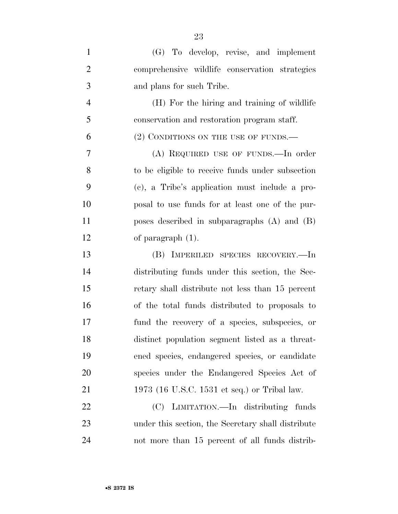| $\mathbf{1}$   | (G) To develop, revise, and implement              |
|----------------|----------------------------------------------------|
| $\overline{2}$ | comprehensive wildlife conservation strategies     |
| 3              | and plans for such Tribe.                          |
| $\overline{4}$ | (H) For the hiring and training of wildlife        |
| 5              | conservation and restoration program staff.        |
| 6              | (2) CONDITIONS ON THE USE OF FUNDS.                |
| 7              | (A) REQUIRED USE OF FUNDS.—In order                |
| 8              | to be eligible to receive funds under subsection   |
| 9              | (c), a Tribe's application must include a pro-     |
| 10             | posal to use funds for at least one of the pur-    |
| 11             | poses described in subparagraphs $(A)$ and $(B)$   |
| 12             | of paragraph $(1)$ .                               |
| 13             | (B) IMPERILED SPECIES RECOVERY.—In                 |
| 14             | distributing funds under this section, the Sec-    |
| 15             | retary shall distribute not less than 15 percent   |
| 16             | of the total funds distributed to proposals to     |
| 17             | fund the recovery of a species, subspecies, or     |
| 18             | distinct population segment listed as a threat-    |
| 19             | ened species, endangered species, or candidate     |
| 20             | species under the Endangered Species Act of        |
| 21             | 1973 (16 U.S.C. 1531 et seq.) or Tribal law.       |
| 22             | (C) LIMITATION.—In distributing funds              |
| 23             | under this section, the Secretary shall distribute |
| 24             | not more than 15 percent of all funds distrib-     |